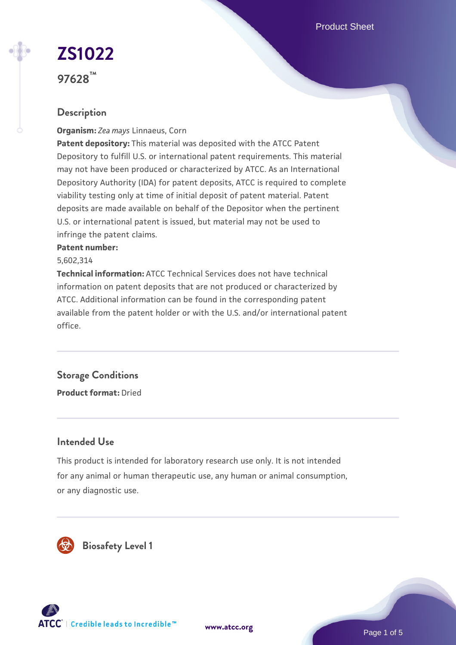Product Sheet

# **[ZS1022](https://www.atcc.org/products/97628)**

**97628™**

# **Description**

**Organism:** *Zea mays* Linnaeus, Corn

**Patent depository:** This material was deposited with the ATCC Patent Depository to fulfill U.S. or international patent requirements. This material may not have been produced or characterized by ATCC. As an International Depository Authority (IDA) for patent deposits, ATCC is required to complete viability testing only at time of initial deposit of patent material. Patent deposits are made available on behalf of the Depositor when the pertinent U.S. or international patent is issued, but material may not be used to infringe the patent claims.

#### **Patent number:**

5,602,314

**Technical information:** ATCC Technical Services does not have technical information on patent deposits that are not produced or characterized by ATCC. Additional information can be found in the corresponding patent available from the patent holder or with the U.S. and/or international patent office.

# **Storage Conditions**

**Product format:** Dried

### **Intended Use**

This product is intended for laboratory research use only. It is not intended for any animal or human therapeutic use, any human or animal consumption, or any diagnostic use.



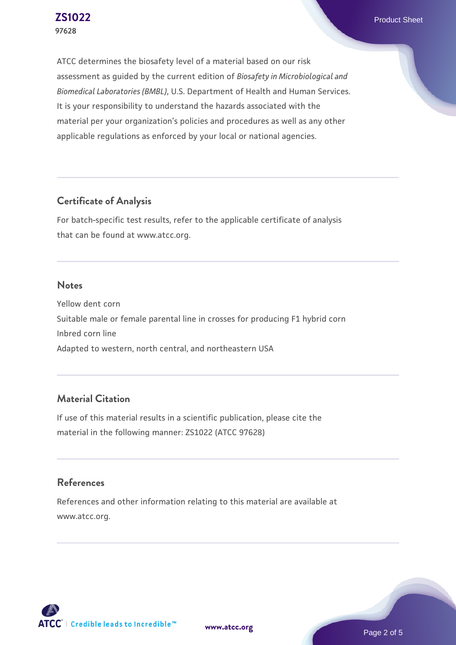**[ZS1022](https://www.atcc.org/products/97628)** Product Sheet

ATCC determines the biosafety level of a material based on our risk assessment as guided by the current edition of *Biosafety in Microbiological and Biomedical Laboratories (BMBL)*, U.S. Department of Health and Human Services. It is your responsibility to understand the hazards associated with the material per your organization's policies and procedures as well as any other applicable regulations as enforced by your local or national agencies.

#### **Certificate of Analysis**

For batch-specific test results, refer to the applicable certificate of analysis that can be found at www.atcc.org.

#### **Notes**

Yellow dent corn Suitable male or female parental line in crosses for producing F1 hybrid corn Inbred corn line Adapted to western, north central, and northeastern USA

## **Material Citation**

If use of this material results in a scientific publication, please cite the material in the following manner: ZS1022 (ATCC 97628)

#### **References**

References and other information relating to this material are available at www.atcc.org.

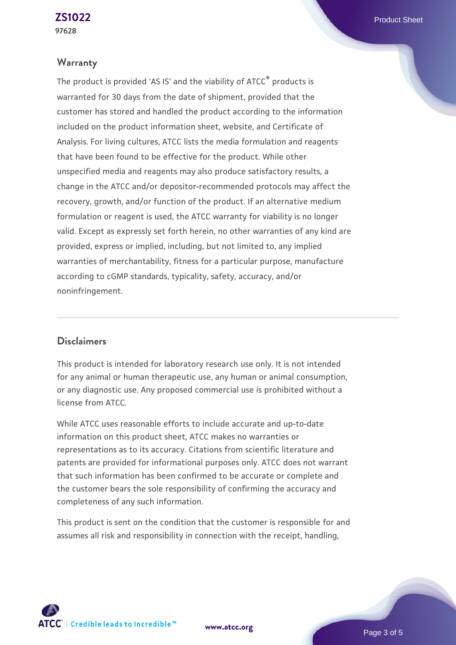#### **Warranty**

The product is provided 'AS IS' and the viability of ATCC® products is warranted for 30 days from the date of shipment, provided that the customer has stored and handled the product according to the information included on the product information sheet, website, and Certificate of Analysis. For living cultures, ATCC lists the media formulation and reagents that have been found to be effective for the product. While other unspecified media and reagents may also produce satisfactory results, a change in the ATCC and/or depositor-recommended protocols may affect the recovery, growth, and/or function of the product. If an alternative medium formulation or reagent is used, the ATCC warranty for viability is no longer valid. Except as expressly set forth herein, no other warranties of any kind are provided, express or implied, including, but not limited to, any implied warranties of merchantability, fitness for a particular purpose, manufacture according to cGMP standards, typicality, safety, accuracy, and/or noninfringement.

#### **Disclaimers**

This product is intended for laboratory research use only. It is not intended for any animal or human therapeutic use, any human or animal consumption, or any diagnostic use. Any proposed commercial use is prohibited without a license from ATCC.

While ATCC uses reasonable efforts to include accurate and up-to-date information on this product sheet, ATCC makes no warranties or representations as to its accuracy. Citations from scientific literature and patents are provided for informational purposes only. ATCC does not warrant that such information has been confirmed to be accurate or complete and the customer bears the sole responsibility of confirming the accuracy and completeness of any such information.

This product is sent on the condition that the customer is responsible for and assumes all risk and responsibility in connection with the receipt, handling,

**[www.atcc.org](http://www.atcc.org)**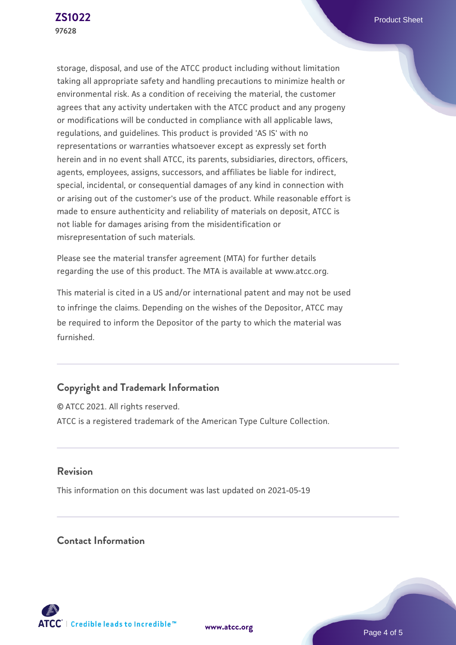storage, disposal, and use of the ATCC product including without limitation taking all appropriate safety and handling precautions to minimize health or environmental risk. As a condition of receiving the material, the customer agrees that any activity undertaken with the ATCC product and any progeny or modifications will be conducted in compliance with all applicable laws, regulations, and guidelines. This product is provided 'AS IS' with no representations or warranties whatsoever except as expressly set forth herein and in no event shall ATCC, its parents, subsidiaries, directors, officers, agents, employees, assigns, successors, and affiliates be liable for indirect, special, incidental, or consequential damages of any kind in connection with or arising out of the customer's use of the product. While reasonable effort is made to ensure authenticity and reliability of materials on deposit, ATCC is not liable for damages arising from the misidentification or misrepresentation of such materials.

Please see the material transfer agreement (MTA) for further details regarding the use of this product. The MTA is available at www.atcc.org.

This material is cited in a US and/or international patent and may not be used to infringe the claims. Depending on the wishes of the Depositor, ATCC may be required to inform the Depositor of the party to which the material was furnished.

# **Copyright and Trademark Information**

© ATCC 2021. All rights reserved. ATCC is a registered trademark of the American Type Culture Collection.

#### **Revision**

This information on this document was last updated on 2021-05-19

#### **Contact Information**